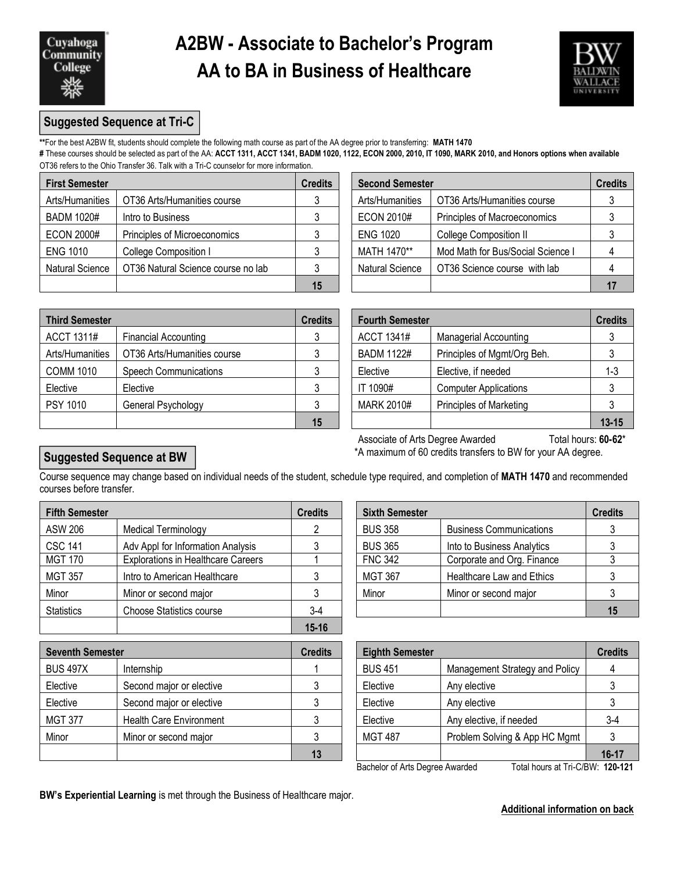Cuyahoga Community College

## **A2BW - Associate to Bachelor's Program AA to BA in Business of Healthcare**



### **Suggested Sequence at Tri-C**

**\*\***For the best A2BW fit, students should complete the following math course as part of the AA degree prior to transferring: **MATH 1470 #** These courses should be selected as part of the AA: **ACCT 1311, ACCT 1341, BADM 1020, 1122, ECON 2000, 2010, IT 1090, MARK 2010, and Honors options when available**  OT36 refers to the Ohio Transfer 36. Talk with a Tri-C counselor for more information.

| <b>First Semester</b>  |                                    | <b>Credits</b> | <b>Second Semester</b> |                                   | <b>Credits</b> |
|------------------------|------------------------------------|----------------|------------------------|-----------------------------------|----------------|
| Arts/Humanities        | OT36 Arts/Humanities course        |                | Arts/Humanities        | OT36 Arts/Humanities course       |                |
| <b>BADM 1020#</b>      | Intro to Business                  |                | <b>ECON 2010#</b>      | Principles of Macroeconomics      |                |
| <b>ECON 2000#</b>      | Principles of Microeconomics       |                | <b>ENG 1020</b>        | <b>College Composition II</b>     |                |
| <b>ENG 1010</b>        | College Composition I              |                | MATH 1470**            | Mod Math for Bus/Social Science I |                |
| <b>Natural Science</b> | OT36 Natural Science course no lab |                | <b>Natural Science</b> | OT36 Science course with lab      |                |
|                        |                                    | 15             |                        |                                   |                |

| edits | <b>Second Semester</b>                         |                                   |  |
|-------|------------------------------------------------|-----------------------------------|--|
| 3     | Arts/Humanities<br>OT36 Arts/Humanities course |                                   |  |
| 3     | <b>ECON 2010#</b>                              | Principles of Macroeconomics      |  |
| 3     | <b>ENG 1020</b>                                | <b>College Composition II</b>     |  |
| 3     | MATH 1470**                                    | Mod Math for Bus/Social Science I |  |
| 3     | <b>Natural Science</b>                         | OT36 Science course with lab      |  |
| 15    |                                                |                                   |  |

| <b>Third Semester</b> |                             | <b>Credits</b> | <b>Fourth Semester</b> |                              | <b>Credits</b> |
|-----------------------|-----------------------------|----------------|------------------------|------------------------------|----------------|
| ACCT 1311#            | <b>Financial Accounting</b> |                | ACCT 1341#             | <b>Managerial Accounting</b> |                |
| Arts/Humanities       | OT36 Arts/Humanities course |                | <b>BADM 1122#</b>      | Principles of Mgmt/Org Beh.  |                |
| <b>COMM 1010</b>      | Speech Communications       |                | Elective               | Elective, if needed          | 1-3            |
| Elective              | Elective                    |                | IT 1090#               | <b>Computer Applications</b> |                |
| <b>PSY 1010</b>       | General Psychology          |                | <b>MARK 2010#</b>      | Principles of Marketing      |                |
|                       |                             | 15             |                        |                              | $13 - 15$      |

| edits | <b>Fourth Semester</b> |                                | <b>Credits</b> |
|-------|------------------------|--------------------------------|----------------|
| 3     | <b>ACCT 1341#</b>      | <b>Managerial Accounting</b>   |                |
| 3     | <b>BADM 1122#</b>      | Principles of Mgmt/Org Beh.    |                |
| 3     | Elective               | Elective, if needed            | $1 - 3$        |
| 3     | IT 1090#               | <b>Computer Applications</b>   |                |
| 3     | <b>MARK 2010#</b>      | <b>Principles of Marketing</b> |                |
| 15    |                        |                                | $13 - 15$      |

### **Suggested Sequence at BW**

Associate of Arts Degree Awarded Total hours: 60-62<sup>\*</sup> \*A maximum of 60 credits transfers to BW for your AA degree.

Course sequence may change based on individual needs of the student, schedule type required, and completion of **MATH 1470** and recommended courses before transfer.

| <b>Fifth Semester</b> |                                           | <b>Credits</b> | <b>Sixth Semester</b> |                                | <b>Credits</b> |
|-----------------------|-------------------------------------------|----------------|-----------------------|--------------------------------|----------------|
| ASW 206               | <b>Medical Terminology</b>                |                | <b>BUS 358</b>        | <b>Business Communications</b> |                |
| <b>CSC 141</b>        | Adv Appl for Information Analysis         |                | <b>BUS 365</b>        | Into to Business Analytics     |                |
| <b>MGT 170</b>        | <b>Explorations in Healthcare Careers</b> |                | <b>FNC 342</b>        | Corporate and Org. Finance     |                |
| <b>MGT 357</b>        | Intro to American Healthcare              |                | <b>MGT 367</b>        | Healthcare Law and Ethics      |                |
| Minor                 | Minor or second major                     |                | Minor                 | Minor or second major          |                |
| <b>Statistics</b>     | <b>Choose Statistics course</b>           | $3-4$          |                       |                                | 15             |
|                       |                                           | $15 - 16$      |                       |                                |                |

| <b>Sixth Semester</b> |                                | <b>Credits</b> |
|-----------------------|--------------------------------|----------------|
| <b>BUS 358</b>        | <b>Business Communications</b> |                |
| <b>BUS 365</b>        | Into to Business Analytics     |                |
| <b>FNC 342</b>        | Corporate and Org. Finance     |                |
| <b>MGT 367</b>        | Healthcare Law and Ethics      |                |
| Minor                 | Minor or second major          |                |
|                       |                                | 15.            |

| <b>Seventh Semester</b> |                                | <b>Credits</b> | <b>Eighth Semester</b>           |                                                       | <b>Credits</b> |
|-------------------------|--------------------------------|----------------|----------------------------------|-------------------------------------------------------|----------------|
| <b>BUS 497X</b>         | Internship                     |                | <b>BUS 451</b>                   | Management Strategy and Policy                        |                |
| Elective                | Second major or elective       |                | Elective                         | Any elective                                          |                |
| Elective                | Second major or elective       |                | Elective                         | Any elective                                          |                |
| <b>MGT 377</b>          | <b>Health Care Environment</b> |                | Elective                         | Any elective, if needed                               | $3-4$          |
| Minor                   | Minor or second major          |                | <b>MGT 487</b>                   | Problem Solving & App HC Mgmt                         |                |
|                         |                                | 13             | Docholor of Arts Dogram Augustad | $T_{\alpha}$ tol houro of $T_{\alpha}$ CIDMI. 490.494 | $16 - 17$      |

Bachelor of Arts Degree Awarded Total hours at Tri-C/BW: **120-121**

**BW's Experiential Learning** is met through the Business of Healthcare major.